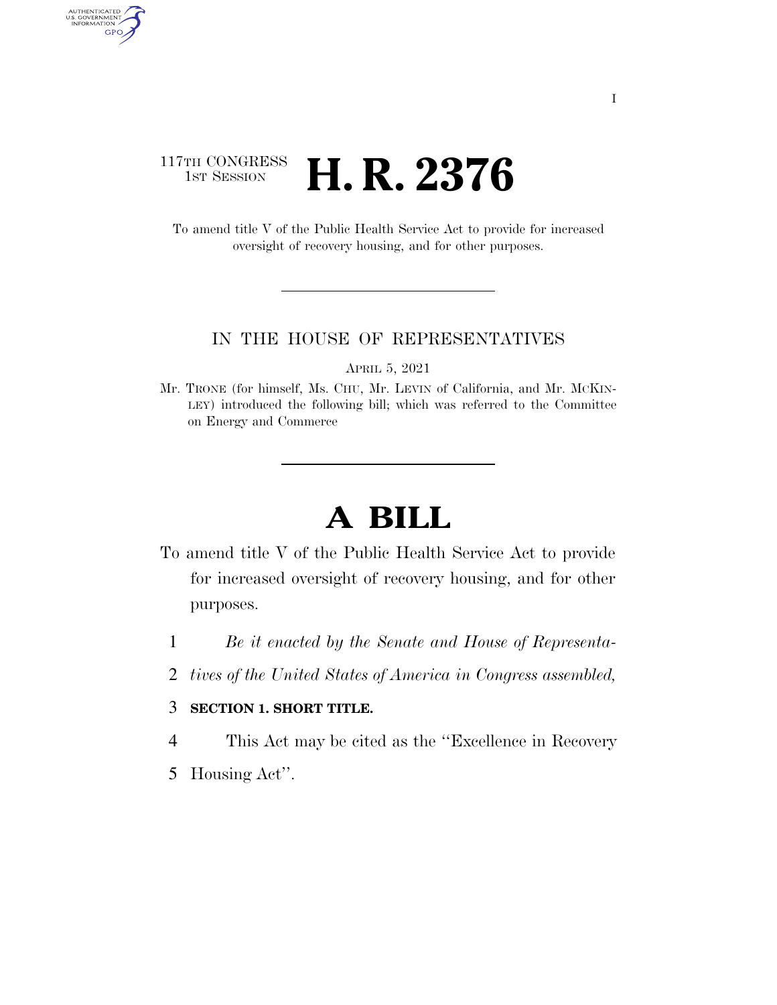### 117TH CONGRESS **1ST SESSION H. R. 2376**

AUTHENTICATED<br>U.S. GOVERNMENT<br>INFORMATION

GPO

To amend title V of the Public Health Service Act to provide for increased oversight of recovery housing, and for other purposes.

### IN THE HOUSE OF REPRESENTATIVES

APRIL 5, 2021

Mr. TRONE (for himself, Ms. CHU, Mr. LEVIN of California, and Mr. MCKIN-LEY) introduced the following bill; which was referred to the Committee on Energy and Commerce

# **A BILL**

- To amend title V of the Public Health Service Act to provide for increased oversight of recovery housing, and for other purposes.
	- 1 *Be it enacted by the Senate and House of Representa-*
	- 2 *tives of the United States of America in Congress assembled,*

### 3 **SECTION 1. SHORT TITLE.**

4 This Act may be cited as the ''Excellence in Recovery

5 Housing Act''.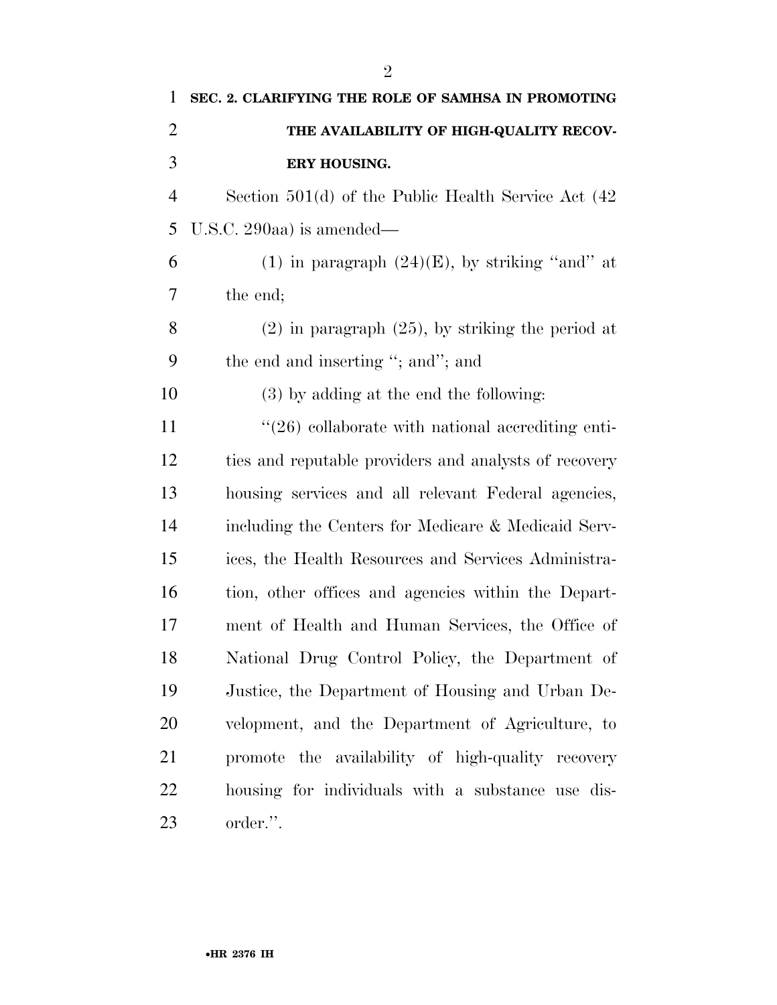| $\mathbf{1}$ | SEC. 2. CLARIFYING THE ROLE OF SAMHSA IN PROMOTING       |
|--------------|----------------------------------------------------------|
| 2            | THE AVAILABILITY OF HIGH-QUALITY RECOV-                  |
| 3            | ERY HOUSING.                                             |
| 4            | Section $501(d)$ of the Public Health Service Act $(42)$ |
| 5            | U.S.C. 290aa) is amended—                                |
| 6            | (1) in paragraph $(24)(E)$ , by striking "and" at        |
| 7            | the end;                                                 |
| 8            | $(2)$ in paragraph $(25)$ , by striking the period at    |
| 9            | the end and inserting "; and"; and                       |
| 10           | (3) by adding at the end the following:                  |
| 11           | $\lq(26)$ collaborate with national accrediting enti-    |
| 12           | ties and reputable providers and analysts of recovery    |
| 13           | housing services and all relevant Federal agencies,      |
| 14           | including the Centers for Medicare & Medicaid Serv-      |
| 15           | ices, the Health Resources and Services Administra-      |
| 16           | tion, other offices and agencies within the Depart-      |
| 17           | ment of Health and Human Services, the Office of         |
| 18           | National Drug Control Policy, the Department of          |
| 19           | Justice, the Department of Housing and Urban De-         |
| 20           | velopment, and the Department of Agriculture, to         |
| 21           | promote the availability of high-quality recovery        |
| 22           | housing for individuals with a substance use dis-        |
| 23           | order.".                                                 |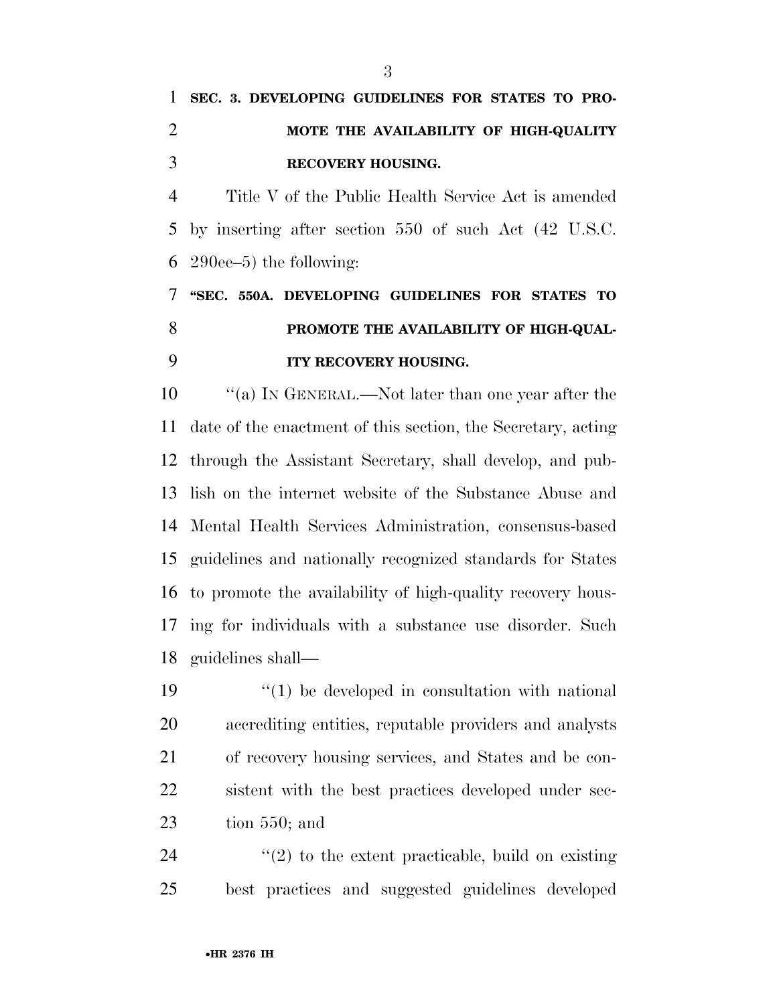## **SEC. 3. DEVELOPING GUIDELINES FOR STATES TO PRO- MOTE THE AVAILABILITY OF HIGH-QUALITY RECOVERY HOUSING.**

 Title V of the Public Health Service Act is amended by inserting after section 550 of such Act (42 U.S.C. 290ee–5) the following:

### **''SEC. 550A. DEVELOPING GUIDELINES FOR STATES TO PROMOTE THE AVAILABILITY OF HIGH-QUAL-ITY RECOVERY HOUSING.**

 $\cdot$  "(a) In GENERAL.—Not later than one year after the date of the enactment of this section, the Secretary, acting through the Assistant Secretary, shall develop, and pub- lish on the internet website of the Substance Abuse and Mental Health Services Administration, consensus-based guidelines and nationally recognized standards for States to promote the availability of high-quality recovery hous- ing for individuals with a substance use disorder. Such guidelines shall—

 $\mathbf{19}$   $\mathbf{19}$   $\mathbf{10}$  be developed in consultation with national accrediting entities, reputable providers and analysts of recovery housing services, and States and be con- sistent with the best practices developed under sec-tion 550; and

24  $(2)$  to the extent practicable, build on existing best practices and suggested guidelines developed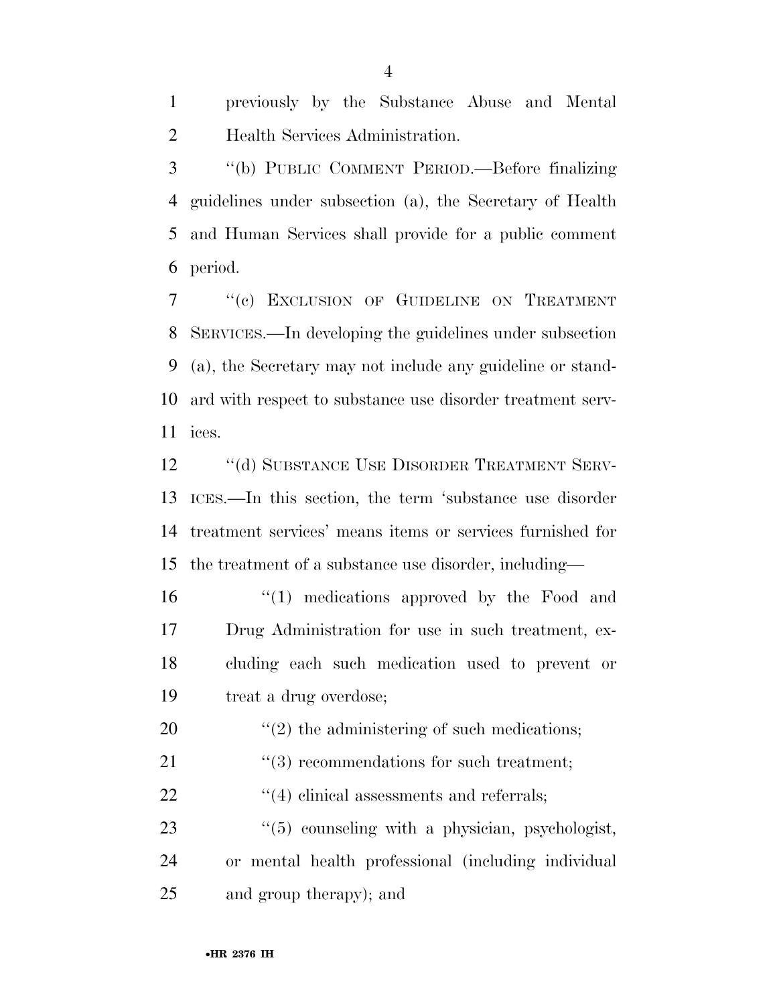previously by the Substance Abuse and Mental Health Services Administration.

 ''(b) PUBLIC COMMENT PERIOD.—Before finalizing guidelines under subsection (a), the Secretary of Health and Human Services shall provide for a public comment period.

7 "(c) EXCLUSION OF GUIDELINE ON TREATMENT SERVICES.—In developing the guidelines under subsection (a), the Secretary may not include any guideline or stand- ard with respect to substance use disorder treatment serv-ices.

12 "(d) SUBSTANCE USE DISORDER TREATMENT SERV- ICES.—In this section, the term 'substance use disorder treatment services' means items or services furnished for the treatment of a substance use disorder, including—

 ''(1) medications approved by the Food and Drug Administration for use in such treatment, ex- cluding each such medication used to prevent or treat a drug overdose;

20  $\frac{1}{2}$  (2) the administering of such medications;

21 ''(3) recommendations for such treatment;

22  $\frac{4}{10}$  clinical assessments and referrals;

23  $\frac{4}{5}$  counseling with a physician, psychologist, or mental health professional (including individual and group therapy); and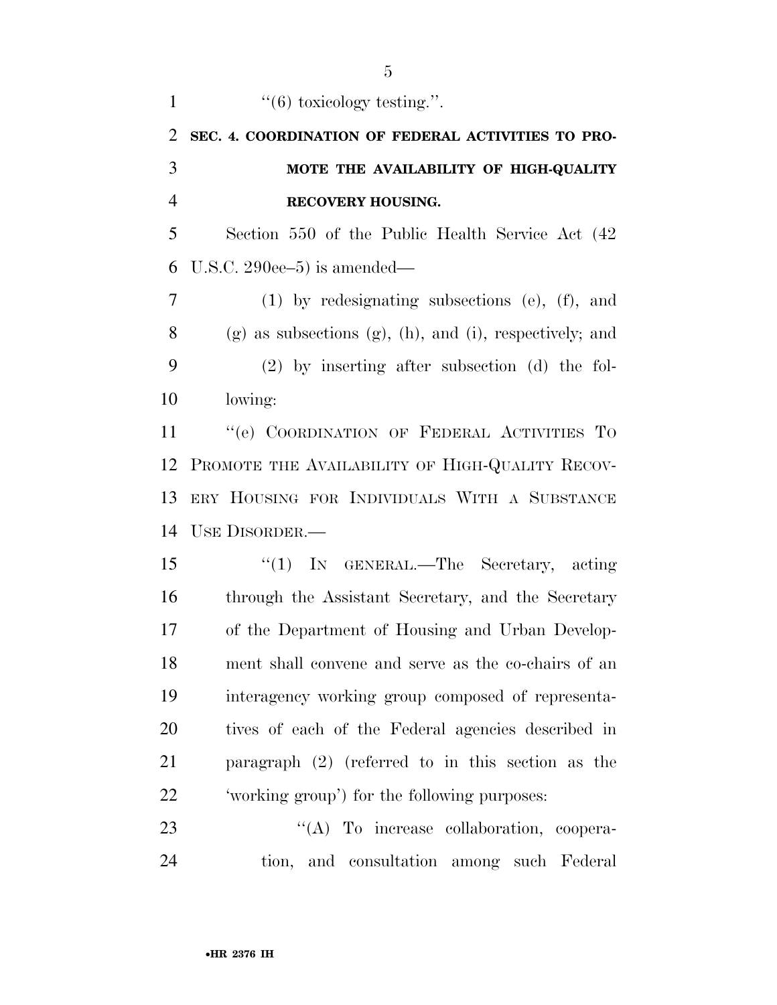| $\mathbf{1}$   | $\cdot\cdot\cdot(6)$ toxicology testing.".                         |
|----------------|--------------------------------------------------------------------|
| 2              | SEC. 4. COORDINATION OF FEDERAL ACTIVITIES TO PRO-                 |
| 3              | MOTE THE AVAILABILITY OF HIGH-QUALITY                              |
| $\overline{4}$ | RECOVERY HOUSING.                                                  |
| 5              | Section 550 of the Public Health Service Act (42)                  |
| 6              | U.S.C. $290ee-5$ ) is amended—                                     |
| 7              | $(1)$ by redesignating subsections $(e)$ , $(f)$ , and             |
| 8              | $(g)$ as subsections $(g)$ , $(h)$ , and $(i)$ , respectively; and |
| 9              | $(2)$ by inserting after subsection $(d)$ the fol-                 |
| 10             | lowing:                                                            |
| 11             | "(e) COORDINATION OF FEDERAL ACTIVITIES TO                         |
| 12             | PROMOTE THE AVAILABILITY OF HIGH-QUALITY RECOV-                    |
| 13             | ERY HOUSING FOR INDIVIDUALS WITH A SUBSTANCE                       |
| 14             | USE DISORDER.-                                                     |
| 15             | " $(1)$ In GENERAL.—The Secretary, acting                          |
| 16             | through the Assistant Secretary, and the Secretary                 |
| 17             | of the Department of Housing and Urban Develop-                    |
| 18             | ment shall convene and serve as the co-chairs of an                |
| 19             | interagency working group composed of representa-                  |
| 20             | tives of each of the Federal agencies described in                 |
| 21             | paragraph $(2)$ (referred to in this section as the                |
| 22             | 'working group') for the following purposes:                       |
| 23             | "(A) To increase collaboration, coopera-                           |
| 24             | tion, and consultation among such Federal                          |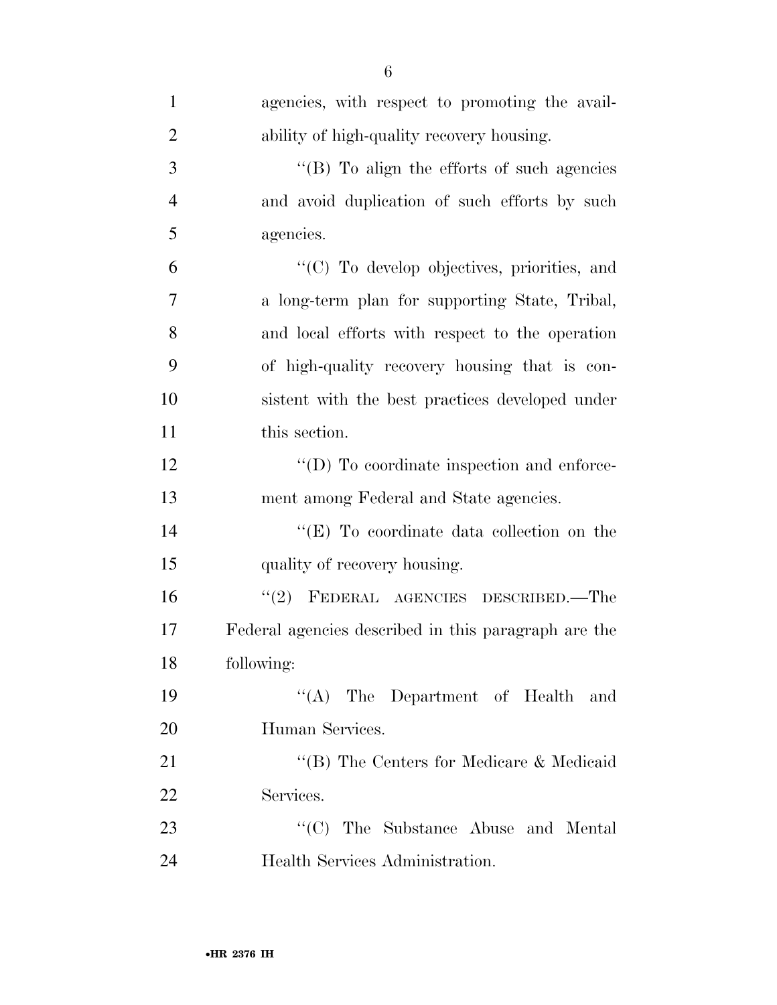| $\mathbf{1}$   | agencies, with respect to promoting the avail-       |
|----------------|------------------------------------------------------|
| $\overline{2}$ | ability of high-quality recovery housing.            |
| 3              | "(B) To align the efforts of such agencies           |
| $\overline{4}$ | and avoid duplication of such efforts by such        |
| 5              | agencies.                                            |
| 6              | "(C) To develop objectives, priorities, and          |
| $\overline{7}$ | a long-term plan for supporting State, Tribal,       |
| 8              | and local efforts with respect to the operation      |
| 9              | of high-quality recovery housing that is con-        |
| 10             | sistent with the best practices developed under      |
| 11             | this section.                                        |
| 12             | $\lq\lq$ (D) To coordinate inspection and enforce-   |
| 13             | ment among Federal and State agencies.               |
| 14             | " $(E)$ To coordinate data collection on the         |
| 15             | quality of recovery housing.                         |
| 16             | "(2) FEDERAL AGENCIES DESCRIBED.—The                 |
| 17             | Federal agencies described in this paragraph are the |
| 18             | following:                                           |
| 19             | $\lq\lq$ The Department of Health and                |
| 20             | Human Services.                                      |
| 21             | "(B) The Centers for Medicare & Medicaid             |
| 22             | Services.                                            |
| 23             | "(C) The Substance Abuse and Mental                  |
| 24             | Health Services Administration.                      |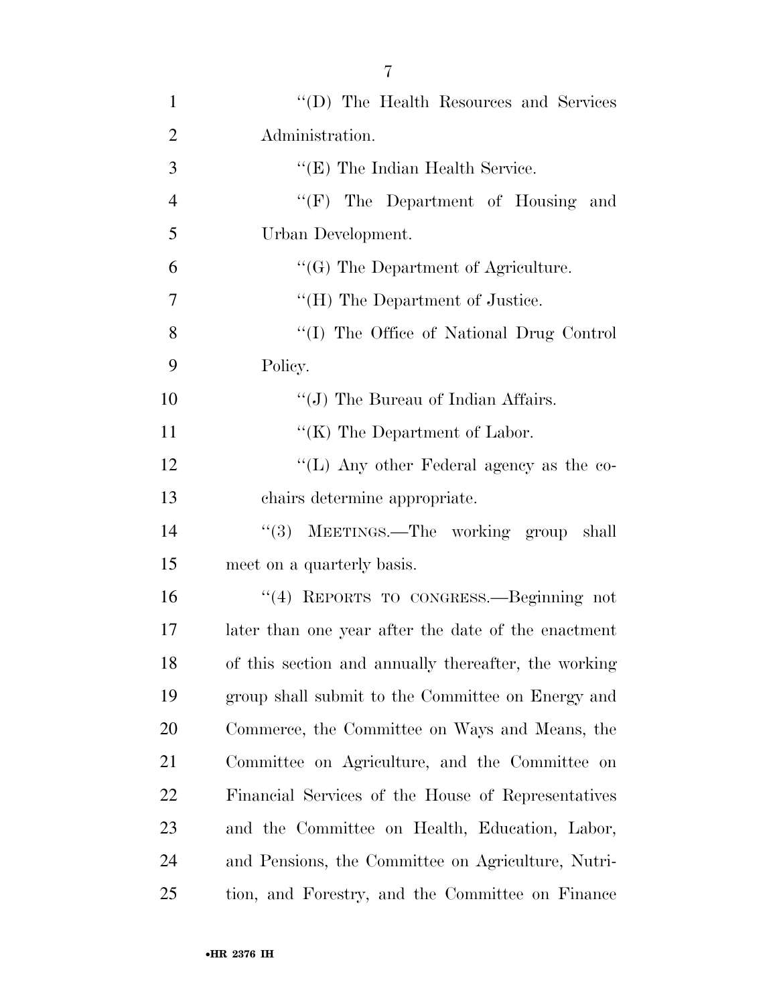| $\mathbf{1}$   | "(D) The Health Resources and Services               |
|----------------|------------------------------------------------------|
| $\overline{2}$ | Administration.                                      |
| 3              | $\lq\lq$ (E) The Indian Health Service.              |
| $\overline{4}$ | "(F) The Department of Housing and                   |
| 5              | Urban Development.                                   |
| 6              | $\lq\lq(G)$ The Department of Agriculture.           |
| 7              | "(H) The Department of Justice.                      |
| 8              | "(I) The Office of National Drug Control             |
| 9              | Policy.                                              |
| 10             | " $(J)$ The Bureau of Indian Affairs.                |
| 11             | $\lq\lq$ (K) The Department of Labor.                |
| 12             | "(L) Any other Federal agency as the co-             |
| 13             | chairs determine appropriate.                        |
| 14             | "(3) MEETINGS.—The working group shall               |
| 15             | meet on a quarterly basis.                           |
| 16             | "(4) REPORTS TO CONGRESS.—Beginning not              |
| 17             | later than one year after the date of the enactment  |
| 18             | of this section and annually thereafter, the working |
| 19             | group shall submit to the Committee on Energy and    |
| 20             | Commerce, the Committee on Ways and Means, the       |
| 21             | Committee on Agriculture, and the Committee on       |
| 22             | Financial Services of the House of Representatives   |
| 23             | and the Committee on Health, Education, Labor,       |
| 24             | and Pensions, the Committee on Agriculture, Nutri-   |
| 25             | tion, and Forestry, and the Committee on Finance     |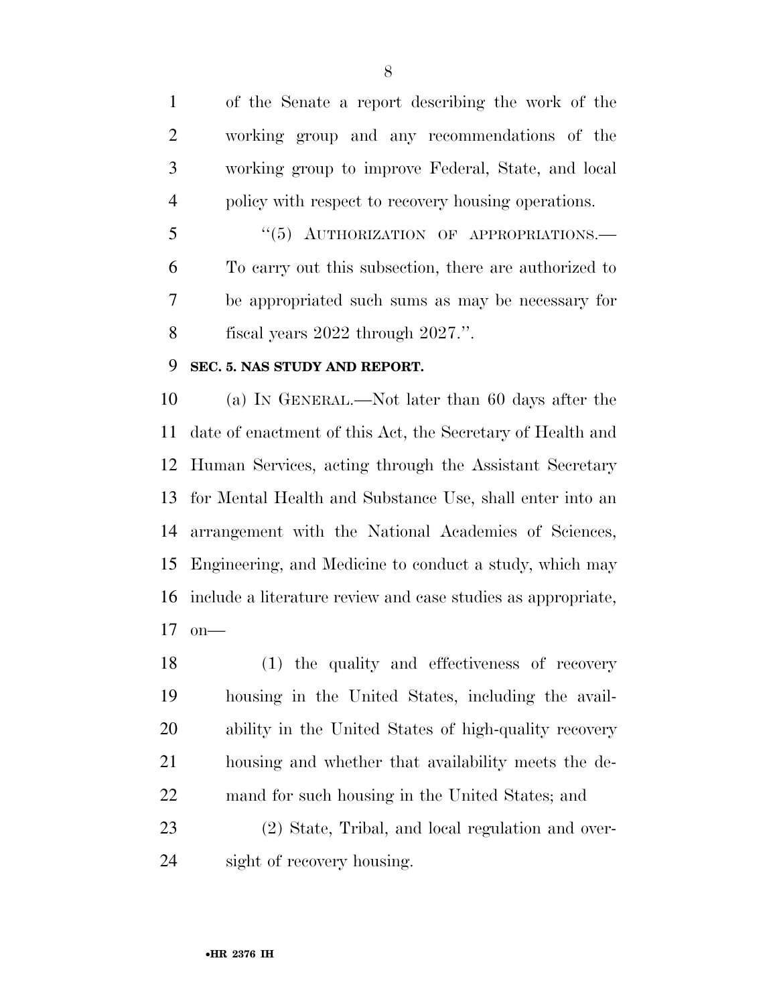of the Senate a report describing the work of the working group and any recommendations of the working group to improve Federal, State, and local policy with respect to recovery housing operations.

5 "(5) AUTHORIZATION OF APPROPRIATIONS.— To carry out this subsection, there are authorized to be appropriated such sums as may be necessary for fiscal years 2022 through 2027.''.

### **SEC. 5. NAS STUDY AND REPORT.**

 (a) IN GENERAL.—Not later than 60 days after the date of enactment of this Act, the Secretary of Health and Human Services, acting through the Assistant Secretary for Mental Health and Substance Use, shall enter into an arrangement with the National Academies of Sciences, Engineering, and Medicine to conduct a study, which may include a literature review and case studies as appropriate, on—

 (1) the quality and effectiveness of recovery housing in the United States, including the avail- ability in the United States of high-quality recovery housing and whether that availability meets the de-mand for such housing in the United States; and

 (2) State, Tribal, and local regulation and over-sight of recovery housing.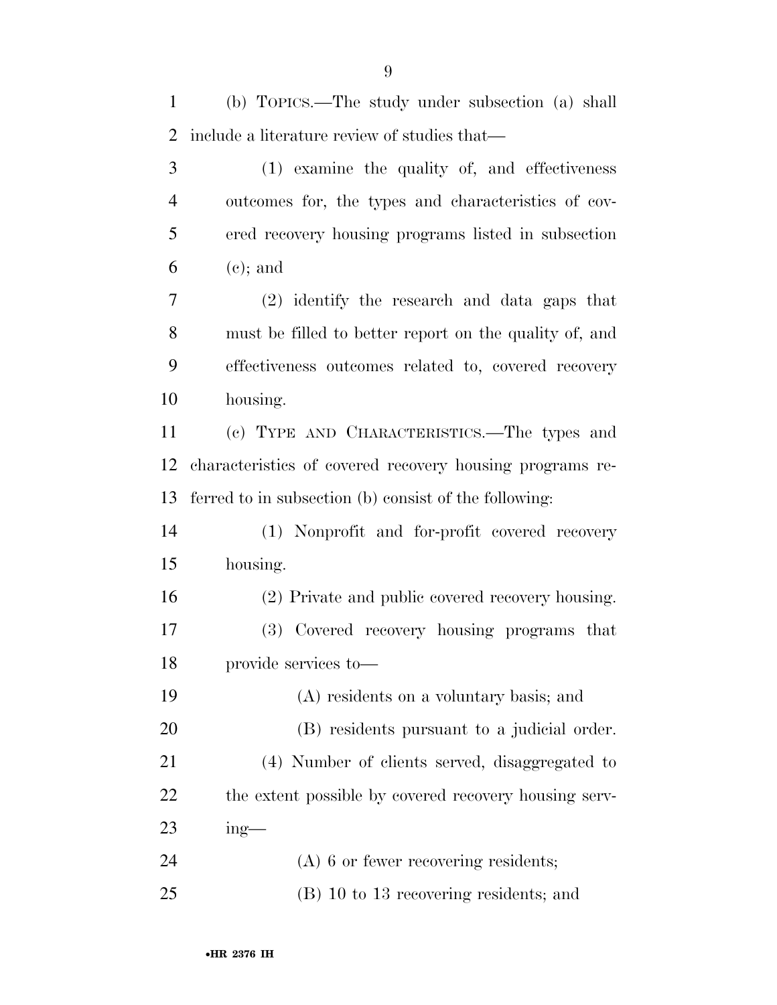(b) TOPICS.—The study under subsection (a) shall include a literature review of studies that—

| 3              | (1) examine the quality of, and effectiveness            |
|----------------|----------------------------------------------------------|
| $\overline{4}$ | outcomes for, the types and characteristics of cov-      |
| 5              | ered recovery housing programs listed in subsection      |
| 6              | $(e)$ ; and                                              |
| 7              | (2) identify the research and data gaps that             |
| 8              | must be filled to better report on the quality of, and   |
| 9              | effectiveness outcomes related to, covered recovery      |
| 10             | housing.                                                 |
| 11             | (c) TYPE AND CHARACTERISTICS.—The types and              |
| 12             | characteristics of covered recovery housing programs re- |
| 13             | ferred to in subsection (b) consist of the following:    |
| 14             | (1) Nonprofit and for-profit covered recovery            |
| 15             | housing.                                                 |
| 16             | (2) Private and public covered recovery housing.         |
| 17             | (3) Covered recovery housing programs that               |
| 18             | provide services to-                                     |
| 19             | (A) residents on a voluntary basis; and                  |
| 20             | (B) residents pursuant to a judicial order.              |
| 21             | (4) Number of clients served, disaggregated to           |
| <u>22</u>      | the extent possible by covered recovery housing serv-    |
| 23             | $ing$ —                                                  |
| 24             | $(A)$ 6 or fewer recovering residents;                   |
| 25             | (B) 10 to 13 recovering residents; and                   |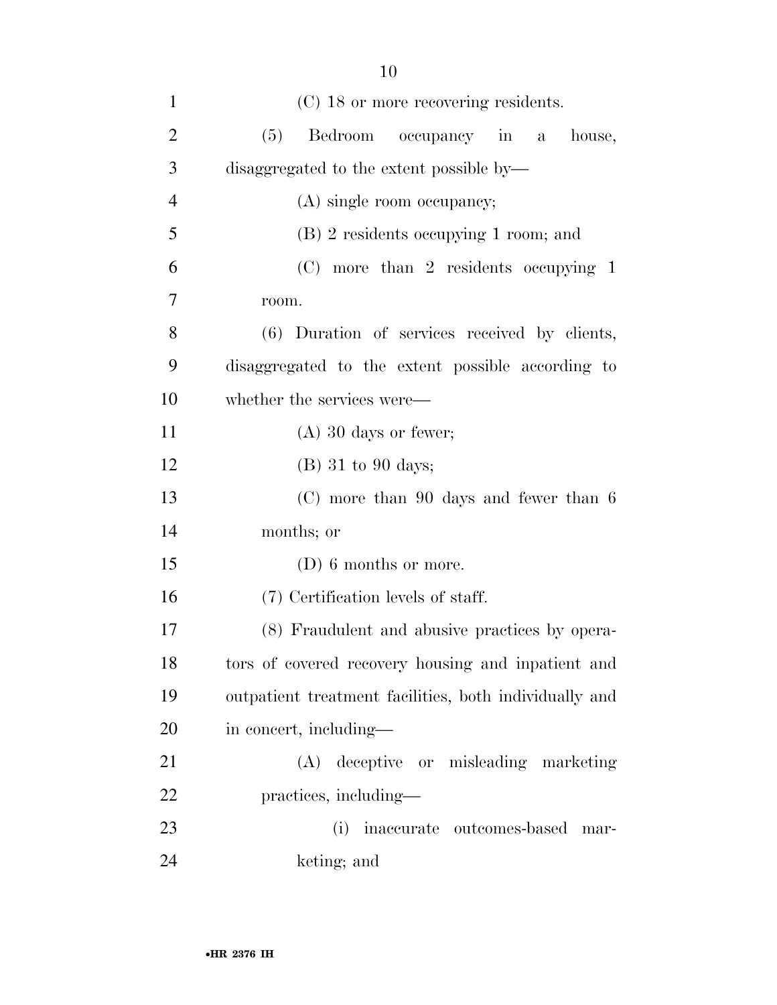| $\mathbf{1}$   | (C) 18 or more recovering residents.                   |
|----------------|--------------------------------------------------------|
| $\overline{2}$ | (5)<br>Bedroom occupancy in a<br>house,                |
| 3              | disaggregated to the extent possible by-               |
| $\overline{4}$ | (A) single room occupancy;                             |
| 5              | $(B)$ 2 residents occupying 1 room; and                |
| 6              | $(C)$ more than 2 residents occupying 1                |
| $\tau$         | room.                                                  |
| 8              | (6) Duration of services received by clients,          |
| 9              | disaggregated to the extent possible according to      |
| 10             | whether the services were—                             |
| 11             | $(A)$ 30 days or fewer;                                |
| 12             | $(B)$ 31 to 90 days;                                   |
| 13             | $(C)$ more than 90 days and fewer than 6               |
| 14             | months; or                                             |
| 15             | $(D)$ 6 months or more.                                |
| 16             | (7) Certification levels of staff.                     |
| 17             | (8) Fraudulent and abusive practices by opera-         |
| 18             | tors of covered recovery housing and inpatient and     |
| 19             | outpatient treatment facilities, both individually and |
| 20             | in concert, including—                                 |
| 21             | (A) deceptive or misleading marketing                  |
| 22             | practices, including—                                  |
| 23             | inaccurate outcomes-based<br>(i)<br>mar-               |
| 24             | keting; and                                            |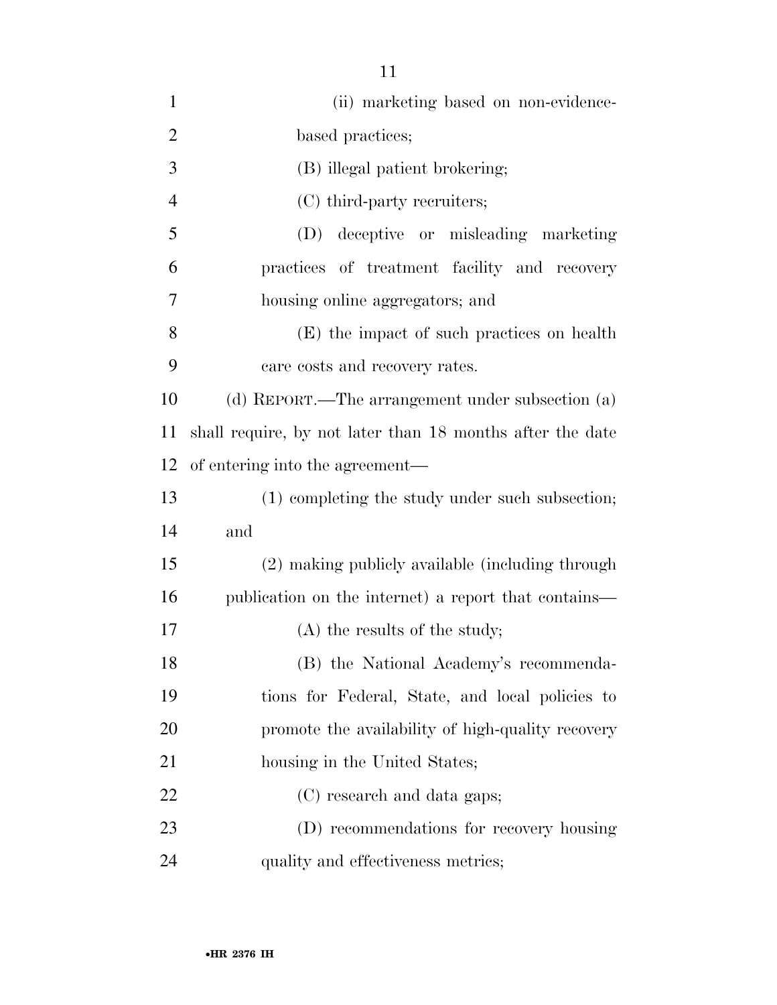| $\mathbf{1}$   | (ii) marketing based on non-evidence-                     |
|----------------|-----------------------------------------------------------|
| $\overline{2}$ | based practices;                                          |
| 3              | (B) illegal patient brokering;                            |
| $\overline{4}$ | (C) third-party recruiters;                               |
| 5              | (D) deceptive or misleading marketing                     |
| 6              | practices of treatment facility and recovery              |
| 7              | housing online aggregators; and                           |
| 8              | (E) the impact of such practices on health                |
| 9              | care costs and recovery rates.                            |
| 10             | (d) REPORT.—The arrangement under subsection (a)          |
| 11             | shall require, by not later than 18 months after the date |
| 12             | of entering into the agreement—                           |
| 13             | (1) completing the study under such subsection;           |
| 14             | and                                                       |
| 15             | (2) making publicly available (including through          |
| 16             | publication on the internet) a report that contains—      |
| 17             | $(A)$ the results of the study;                           |
| 18             | (B) the National Academy's recommenda-                    |
| 19             | tions for Federal, State, and local policies to           |
| 20             | promote the availability of high-quality recovery         |
| 21             | housing in the United States;                             |
| 22             | (C) research and data gaps;                               |
| 23             | (D) recommendations for recovery housing                  |
| 24             | quality and effectiveness metrics;                        |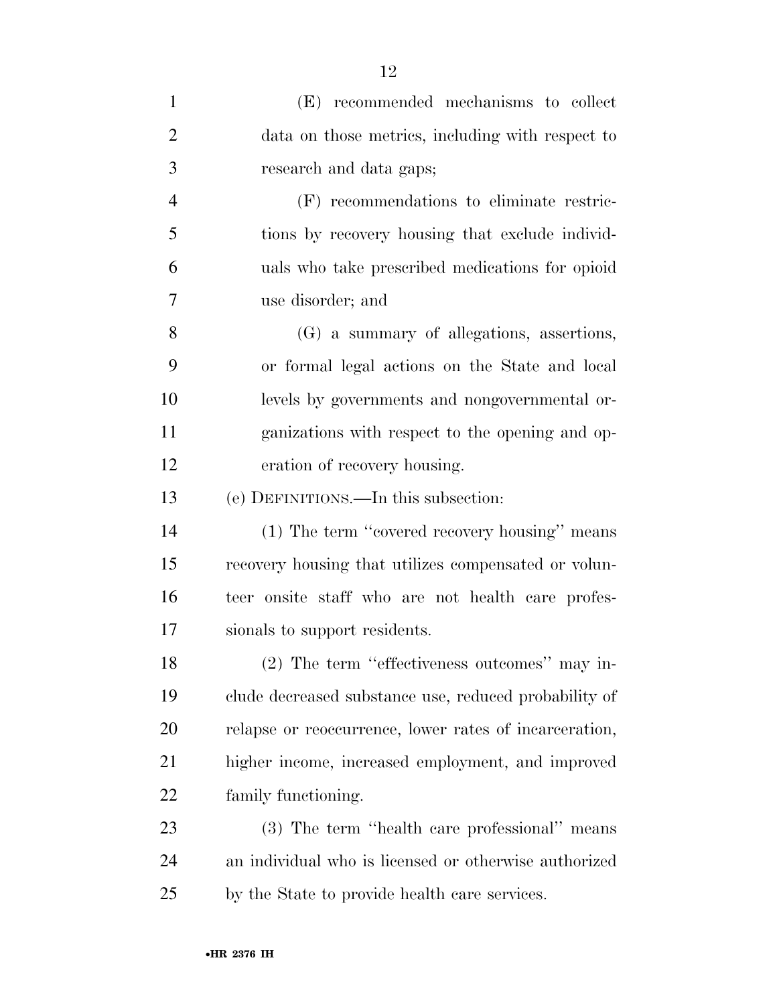| $\mathbf{1}$   | (E) recommended mechanisms to collect                  |
|----------------|--------------------------------------------------------|
| $\overline{2}$ | data on those metrics, including with respect to       |
| 3              | research and data gaps;                                |
| $\overline{4}$ | (F) recommendations to eliminate restric-              |
| 5              | tions by recovery housing that exclude individ-        |
| 6              | uals who take prescribed medications for opioid        |
| 7              | use disorder; and                                      |
| 8              | (G) a summary of allegations, assertions,              |
| 9              | or formal legal actions on the State and local         |
| 10             | levels by governments and nongovernmental or-          |
| 11             | ganizations with respect to the opening and op-        |
| 12             | eration of recovery housing.                           |
| 13             | (e) DEFINITIONS.—In this subsection:                   |
| 14             | (1) The term "covered recovery housing" means          |
| 15             | recovery housing that utilizes compensated or volun-   |
| 16             | teer onsite staff who are not health care profes-      |
| 17             | sionals to support residents.                          |
| 18             | (2) The term "effectiveness outcomes" may in-          |
| 19             | clude decreased substance use, reduced probability of  |
| 20             | relapse or reoccurrence, lower rates of incarceration, |
| 21             | higher income, increased employment, and improved      |
| 22             | family functioning.                                    |
| 23             | (3) The term "health care professional" means          |
| 24             | an individual who is licensed or otherwise authorized  |
| 25             | by the State to provide health care services.          |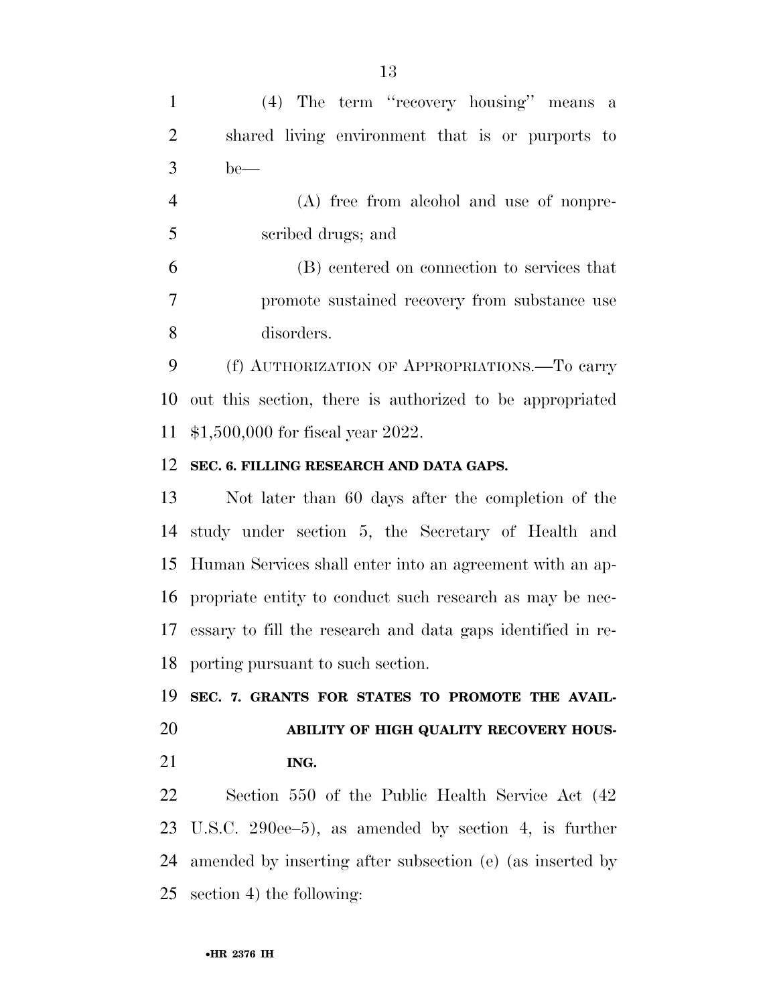(4) The term ''recovery housing'' means a shared living environment that is or purports to be—

 (A) free from alcohol and use of nonpre-scribed drugs; and

 (B) centered on connection to services that promote sustained recovery from substance use disorders.

 (f) AUTHORIZATION OF APPROPRIATIONS.—To carry out this section, there is authorized to be appropriated \$1,500,000 for fiscal year 2022.

#### **SEC. 6. FILLING RESEARCH AND DATA GAPS.**

 Not later than 60 days after the completion of the study under section 5, the Secretary of Health and Human Services shall enter into an agreement with an ap- propriate entity to conduct such research as may be nec- essary to fill the research and data gaps identified in re-porting pursuant to such section.

 **SEC. 7. GRANTS FOR STATES TO PROMOTE THE AVAIL- ABILITY OF HIGH QUALITY RECOVERY HOUS-ING.** 

 Section 550 of the Public Health Service Act (42 U.S.C. 290ee–5), as amended by section 4, is further amended by inserting after subsection (e) (as inserted by section 4) the following: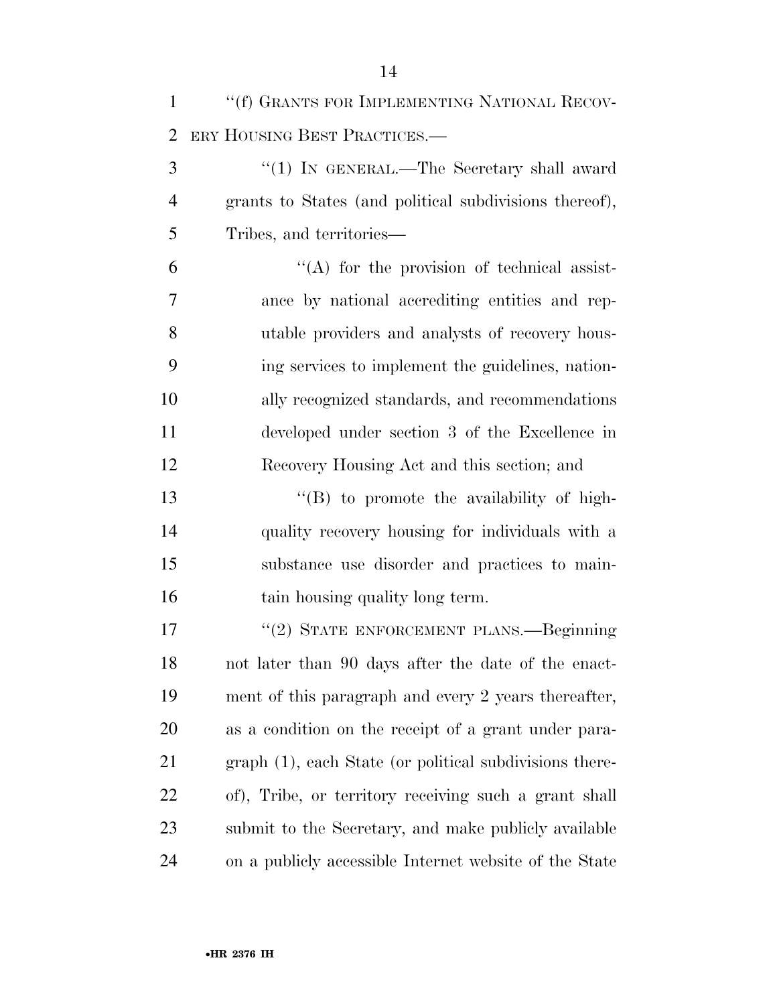| $\mathbf{1}$   | "(f) GRANTS FOR IMPLEMENTING NATIONAL RECOV-            |
|----------------|---------------------------------------------------------|
| $\overline{2}$ | ERY HOUSING BEST PRACTICES.—                            |
| 3              | "(1) IN GENERAL.—The Secretary shall award              |
| $\overline{4}$ | grants to States (and political subdivisions thereof),  |
| 5              | Tribes, and territories—                                |
| 6              | $\lq\lq$ for the provision of technical assist-         |
| 7              | ance by national accrediting entities and rep-          |
| 8              | utable providers and analysts of recovery hous-         |
| 9              | ing services to implement the guidelines, nation-       |
| 10             | ally recognized standards, and recommendations          |
| 11             | developed under section 3 of the Excellence in          |
| 12             | Recovery Housing Act and this section; and              |
| 13             | $\lq\lq (B)$ to promote the availability of high-       |
| 14             | quality recovery housing for individuals with a         |
| 15             | substance use disorder and practices to main-           |
| 16             | tain housing quality long term.                         |
| 17             | "(2) STATE ENFORCEMENT PLANS.—Beginning                 |
| 18             | not later than 90 days after the date of the enact-     |
| 19             | ment of this paragraph and every 2 years thereafter,    |
| <b>20</b>      | as a condition on the receipt of a grant under para-    |
| 21             | graph (1), each State (or political subdivisions there- |
| 22             | of), Tribe, or territory receiving such a grant shall   |
| 23             | submit to the Secretary, and make publicly available    |
| 24             | on a publicly accessible Internet website of the State  |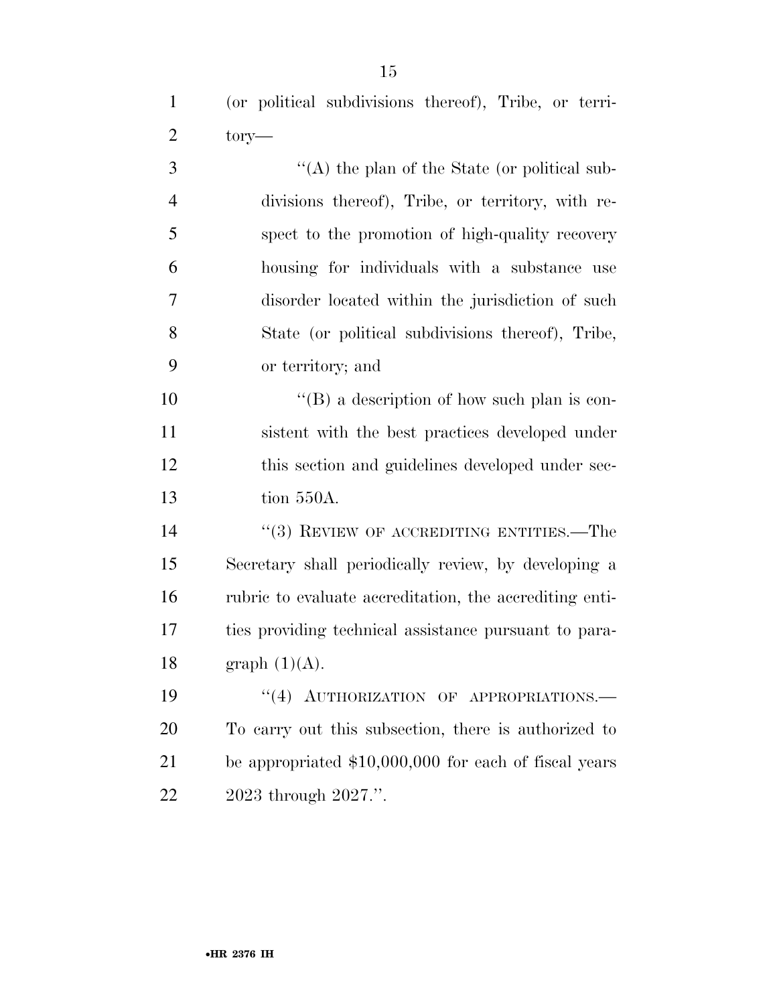| 3 | "(A) the plan of the State (or political sub-     |
|---|---------------------------------------------------|
| 4 | divisions thereof), Tribe, or territory, with re- |
| 5 | spect to the promotion of high-quality recovery   |
| 6 | housing for individuals with a substance use      |
| 7 | disorder located within the jurisdiction of such  |
| 8 | State (or political subdivisions thereof), Tribe, |
| 9 | or territory; and                                 |

 $"$ (B) a description of how such plan is con- sistent with the best practices developed under this section and guidelines developed under sec-tion 550A.

14 ''(3) REVIEW OF ACCREDITING ENTITIES.—The Secretary shall periodically review, by developing a rubric to evaluate accreditation, the accrediting enti- ties providing technical assistance pursuant to para-18 graph  $(1)(A)$ .

19 "(4) AUTHORIZATION OF APPROPRIATIONS. To carry out this subsection, there is authorized to be appropriated \$10,000,000 for each of fiscal years 2023 through 2027.''.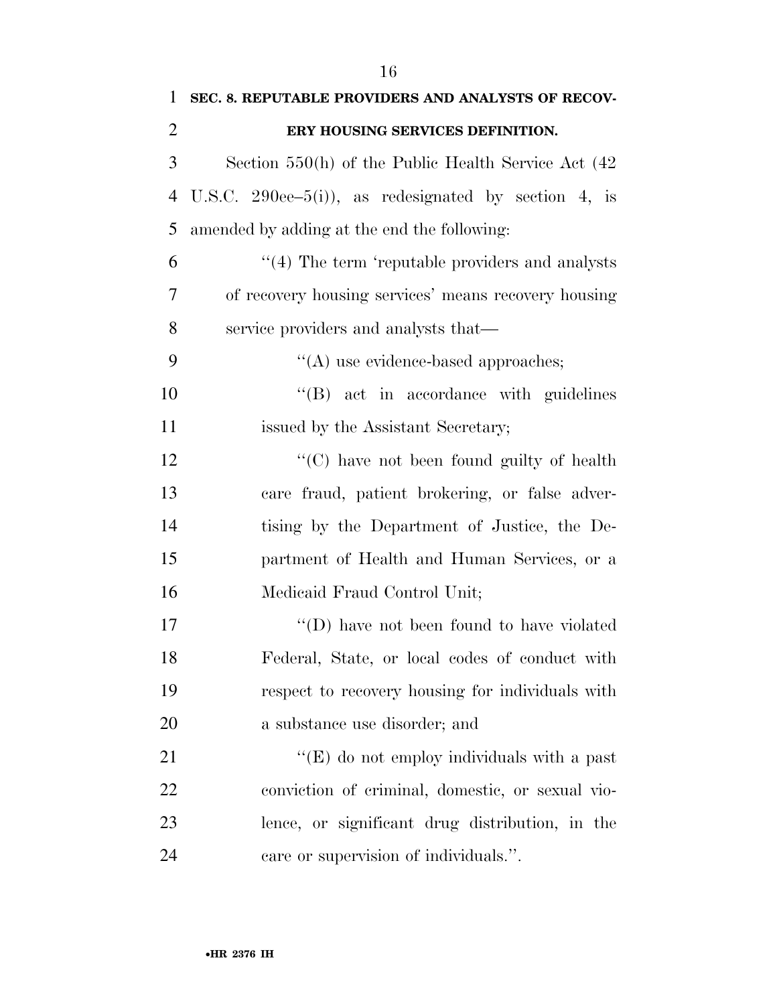| 1              | SEC. 8. REPUTABLE PROVIDERS AND ANALYSTS OF RECOV-       |
|----------------|----------------------------------------------------------|
| $\overline{2}$ | ERY HOUSING SERVICES DEFINITION.                         |
| 3              | Section $550(h)$ of the Public Health Service Act $(42)$ |
| 4              | U.S.C. 290ee–5(i)), as redesignated by section 4, is     |
| 5              | amended by adding at the end the following:              |
| 6              | $\cdot$ (4) The term 'reputable providers and analysts   |
| 7              | of recovery housing services' means recovery housing     |
| 8              | service providers and analysts that—                     |
| 9              | $\lq\lq$ use evidence-based approaches;                  |
| 10             | $\lq\lq (B)$ act in accordance with guidelines           |
| 11             | issued by the Assistant Secretary;                       |
| 12             | $\lq\lq$ have not been found guilty of health            |
| 13             | care fraud, patient brokering, or false adver-           |
| 14             | tising by the Department of Justice, the De-             |
| 15             | partment of Health and Human Services, or a              |
| 16             | Medicaid Fraud Control Unit;                             |
| 17             | $\lq\lq$ (D) have not been found to have violated        |
| 18             | Federal, State, or local codes of conduct with           |
| 19             | respect to recovery housing for individuals with         |
| 20             | a substance use disorder; and                            |
| 21             | " $(E)$ do not employ individuals with a past            |
| 22             | conviction of criminal, domestic, or sexual vio-         |
| 23             | lence, or significant drug distribution, in the          |
| 24             | care or supervision of individuals.".                    |